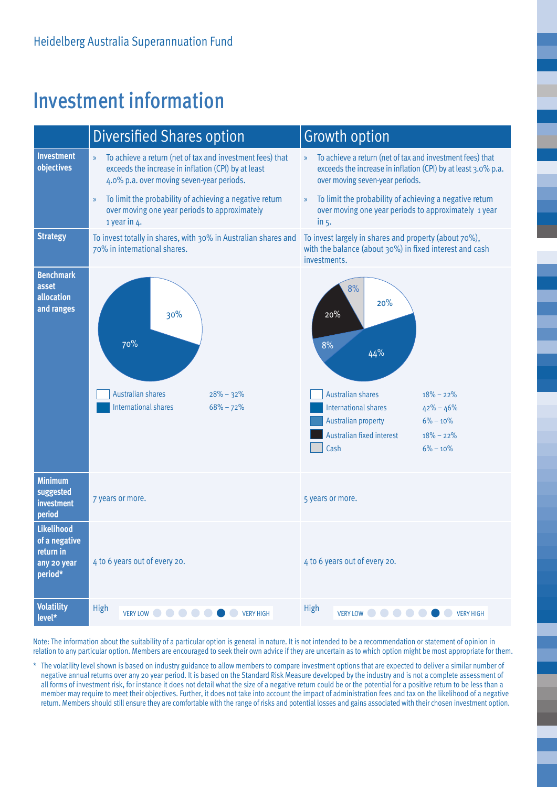## Investment information



8%

Note: The information about the suitability of a particular option is general in nature. It is not intended to be a recommendation or statement of opinion in relation to any particular option. Members are encouraged to seek their own advice if they are uncertain as to which option might be most appropriate for them.

\* The volatility level shown is based on industry guidance to allow members to compare investment options that are expected to deliver a similar number of negative annual returns over any 20 year period. It is based on the Standard Risk Measure developed by the industry and is not a complete assessment of all forms of investment risk, for instance it does not detail what the size of a negative return could be or the potential for a positive return to be less than a member may require to meet their objectives. Further, it does not take into account the impact of administration fees and tax on the likelihood of a negative return. Members should still ensure they are comfortable with the range of risks and potential losses and gains associated with their chosen investment option.